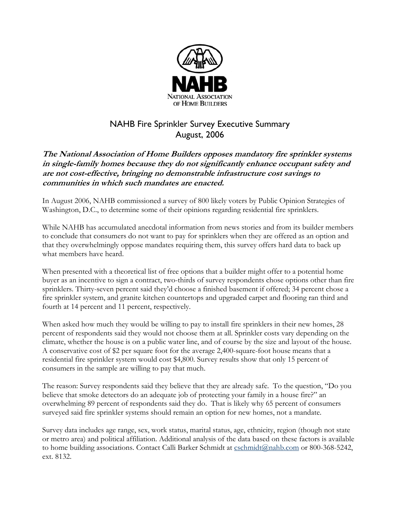

## NAHB Fire Sprinkler Survey Executive Summary August, 2006

## **The National Association of Home Builders opposes mandatory fire sprinkler systems in single-family homes because they do not significantly enhance occupant safety and are not cost-effective, bringing no demonstrable infrastructure cost savings to communities in which such mandates are enacted.**

In August 2006, NAHB commissioned a survey of 800 likely voters by Public Opinion Strategies of Washington, D.C., to determine some of their opinions regarding residential fire sprinklers.

While NAHB has accumulated anecdotal information from news stories and from its builder members to conclude that consumers do not want to pay for sprinklers when they are offered as an option and that they overwhelmingly oppose mandates requiring them, this survey offers hard data to back up what members have heard.

When presented with a theoretical list of free options that a builder might offer to a potential home buyer as an incentive to sign a contract, two-thirds of survey respondents chose options other than fire sprinklers. Thirty-seven percent said they'd choose a finished basement if offered; 34 percent chose a fire sprinkler system, and granite kitchen countertops and upgraded carpet and flooring ran third and fourth at 14 percent and 11 percent, respectively.

When asked how much they would be willing to pay to install fire sprinklers in their new homes, 28 percent of respondents said they would not choose them at all. Sprinkler costs vary depending on the climate, whether the house is on a public water line, and of course by the size and layout of the house. A conservative cost of \$2 per square foot for the average 2,400-square-foot house means that a residential fire sprinkler system would cost \$4,800. Survey results show that only 15 percent of consumers in the sample are willing to pay that much.

The reason: Survey respondents said they believe that they are already safe. To the question, "Do you believe that smoke detectors do an adequate job of protecting your family in a house fire?" an overwhelming 89 percent of respondents said they do. That is likely why 65 percent of consumers surveyed said fire sprinkler systems should remain an option for new homes, not a mandate.

Survey data includes age range, sex, work status, marital status, age, ethnicity, region (though not state or metro area) and political affiliation. Additional analysis of the data based on these factors is available to home building associations. Contact Calli Barker Schmidt at [cschmidt@nahb.com](mailto:cschmidt@nahb.com) or 800-368-5242, ext. 8132.